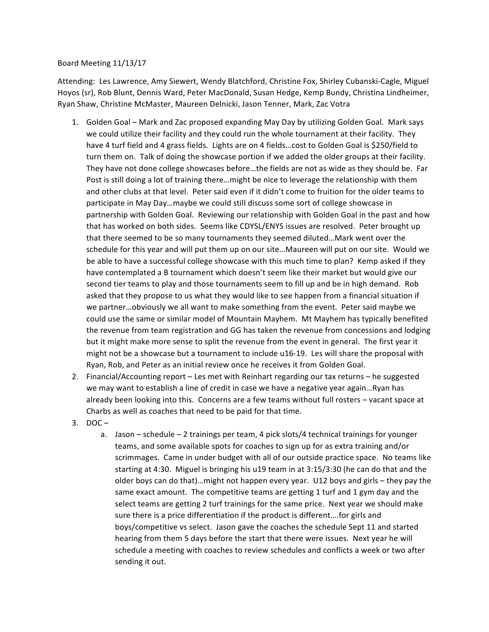## Board Meeting 11/13/17

Attending: Les Lawrence, Amy Siewert, Wendy Blatchford, Christine Fox, Shirley Cubanski-Cagle, Miguel Hoyos (sr), Rob Blunt, Dennis Ward, Peter MacDonald, Susan Hedge, Kemp Bundy, Christina Lindheimer, Ryan Shaw, Christine McMaster, Maureen Delnicki, Jason Tenner, Mark, Zac Votra

- 1. Golden Goal Mark and Zac proposed expanding May Day by utilizing Golden Goal. Mark says we could utilize their facility and they could run the whole tournament at their facility. They have 4 turf field and 4 grass fields. Lights are on 4 fields...cost to Golden Goal is \$250/field to turn them on. Talk of doing the showcase portion if we added the older groups at their facility. They have not done college showcases before...the fields are not as wide as they should be. Far Post is still doing a lot of training there...might be nice to leverage the relationship with them and other clubs at that level. Peter said even if it didn't come to fruition for the older teams to participate in May Day...maybe we could still discuss some sort of college showcase in partnership with Golden Goal. Reviewing our relationship with Golden Goal in the past and how that has worked on both sides. Seems like CDYSL/ENYS issues are resolved. Peter brought up that there seemed to be so many tournaments they seemed diluted...Mark went over the schedule for this year and will put them up on our site...Maureen will put on our site. Would we be able to have a successful college showcase with this much time to plan? Kemp asked if they have contemplated a B tournament which doesn't seem like their market but would give our second tier teams to play and those tournaments seem to fill up and be in high demand. Rob asked that they propose to us what they would like to see happen from a financial situation if we partner...obviously we all want to make something from the event. Peter said maybe we could use the same or similar model of Mountain Mayhem. Mt Mayhem has typically benefited the revenue from team registration and GG has taken the revenue from concessions and lodging but it might make more sense to split the revenue from the event in general. The first year it might not be a showcase but a tournament to include u16-19. Les will share the proposal with Ryan, Rob, and Peter as an initial review once he receives it from Golden Goal.
- 2. Financial/Accounting report Les met with Reinhart regarding our tax returns he suggested we may want to establish a line of credit in case we have a negative year again...Ryan has already been looking into this. Concerns are a few teams without full rosters - vacant space at Charbs as well as coaches that need to be paid for that time.
- $3.$  DOC
	- a. Jason schedule 2 trainings per team, 4 pick slots/4 technical trainings for younger teams, and some available spots for coaches to sign up for as extra training and/or scrimmages. Came in under budget with all of our outside practice space. No teams like starting at 4:30. Miguel is bringing his  $u19$  team in at  $3:15/3:30$  (he can do that and the older boys can do that)…might not happen every year. U12 boys and girls – they pay the same exact amount. The competitive teams are getting 1 turf and 1 gym day and the select teams are getting 2 turf trainings for the same price. Next year we should make sure there is a price differentiation if the product is different....for girls and boys/competitive vs select. Jason gave the coaches the schedule Sept 11 and started hearing from them 5 days before the start that there were issues. Next year he will schedule a meeting with coaches to review schedules and conflicts a week or two after sending it out.